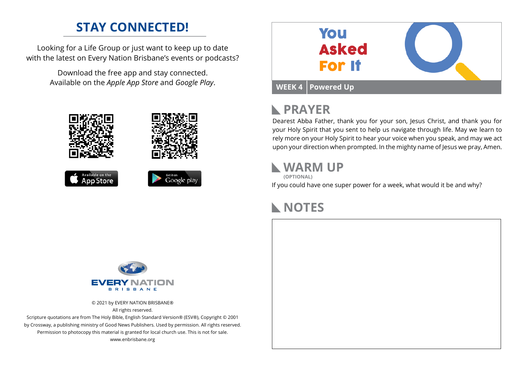### **STAY CONNECTED!**

Looking for a Life Group or just want to keep up to date with the latest on Every Nation Brisbane's events or podcasts?

> Download the free app and stay connected. Available on the *Apple App Store* and *Google Play*.





# **PRAYER**

Dearest Abba Father, thank you for your son, Jesus Christ, and thank you for your Holy Spirit that you sent to help us navigate through life. May we learn to rely more on your Holy Spirit to hear your voice when you speak, and may we act upon your direction when prompted. In the mighty name of Jesus we pray, Amen.

#### **WARM UP**

**(OPTIONAL)**

If you could have one super power for a week, what would it be and why?

### **NOTES**



© 2021 by EVERY NATION BRISBANE® All rights reserved.

Scripture quotations are from The Holy Bible, English Standard Version® (ESV®), Copyright © 2001 by Crossway, a publishing ministry of Good News Publishers. Used by permission. All rights reserved. Permission to photocopy this material is granted for local church use. This is not for sale. www.enbrisbane.org